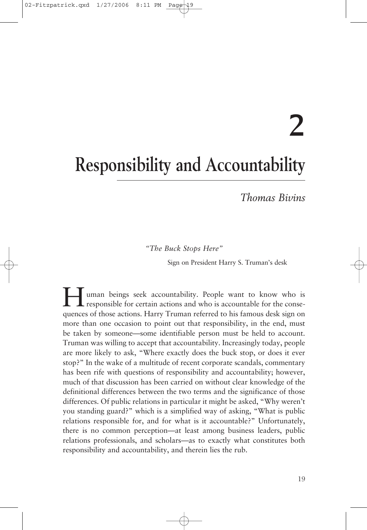# **2 Responsibility and Accountability**

*Thomas Bivins*

#### *"The Buck Stops Here"*

Sign on President Harry S. Truman's desk

I uman beings seek accountability. People want to know who is<br>responsible for certain actions and who is accountable for the conse-<br>follows when  $\prod_{n=1}^{\infty}$ quences of those actions. Harry Truman referred to his famous desk sign on more than one occasion to point out that responsibility, in the end, must be taken by someone—some identifiable person must be held to account. Truman was willing to accept that accountability. Increasingly today, people are more likely to ask, "Where exactly does the buck stop, or does it ever stop?" In the wake of a multitude of recent corporate scandals, commentary has been rife with questions of responsibility and accountability; however, much of that discussion has been carried on without clear knowledge of the definitional differences between the two terms and the significance of those differences. Of public relations in particular it might be asked, "Why weren't you standing guard?" which is a simplified way of asking, "What is public relations responsible for, and for what is it accountable?" Unfortunately, there is no common perception—at least among business leaders, public relations professionals, and scholars—as to exactly what constitutes both responsibility and accountability, and therein lies the rub.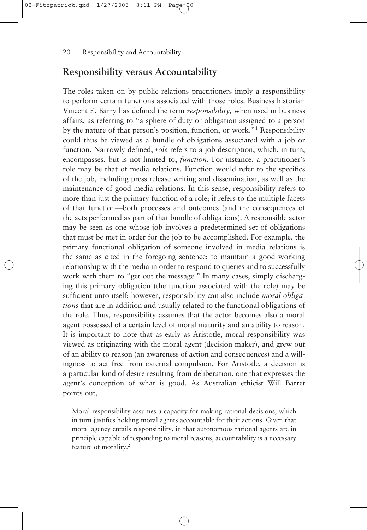# **Responsibility versus Accountability**

The roles taken on by public relations practitioners imply a responsibility to perform certain functions associated with those roles. Business historian Vincent E. Barry has defined the term *responsibility,* when used in business affairs, as referring to "a sphere of duty or obligation assigned to a person by the nature of that person's position, function, or work."1 Responsibility could thus be viewed as a bundle of obligations associated with a job or function. Narrowly defined, *role* refers to a job description, which, in turn, encompasses, but is not limited to, *function.* For instance, a practitioner's role may be that of media relations. Function would refer to the specifics of the job, including press release writing and dissemination, as well as the maintenance of good media relations. In this sense, responsibility refers to more than just the primary function of a role; it refers to the multiple facets of that function—both processes and outcomes (and the consequences of the acts performed as part of that bundle of obligations). A responsible actor may be seen as one whose job involves a predetermined set of obligations that must be met in order for the job to be accomplished. For example, the primary functional obligation of someone involved in media relations is the same as cited in the foregoing sentence: to maintain a good working relationship with the media in order to respond to queries and to successfully work with them to "get out the message." In many cases, simply discharging this primary obligation (the function associated with the role) may be sufficient unto itself; however, responsibility can also include *moral obligations* that are in addition and usually related to the functional obligations of the role. Thus, responsibility assumes that the actor becomes also a moral agent possessed of a certain level of moral maturity and an ability to reason. It is important to note that as early as Aristotle, moral responsibility was viewed as originating with the moral agent (decision maker), and grew out of an ability to reason (an awareness of action and consequences) and a willingness to act free from external compulsion. For Aristotle, a decision is a particular kind of desire resulting from deliberation, one that expresses the agent's conception of what is good. As Australian ethicist Will Barret points out,

Moral responsibility assumes a capacity for making rational decisions, which in turn justifies holding moral agents accountable for their actions. Given that moral agency entails responsibility, in that autonomous rational agents are in principle capable of responding to moral reasons, accountability is a necessary feature of morality.2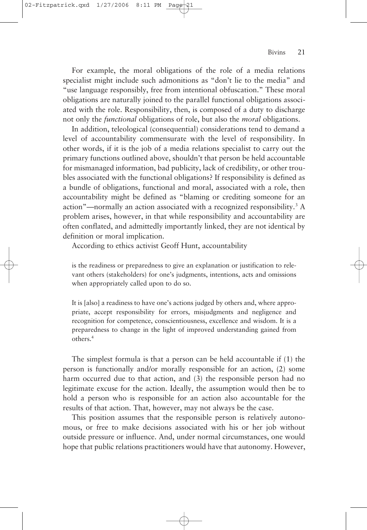For example, the moral obligations of the role of a media relations specialist might include such admonitions as "don't lie to the media" and "use language responsibly, free from intentional obfuscation." These moral obligations are naturally joined to the parallel functional obligations associated with the role. Responsibility, then, is composed of a duty to discharge not only the *functional* obligations of role, but also the *moral* obligations.

In addition, teleological (consequential) considerations tend to demand a level of accountability commensurate with the level of responsibility. In other words, if it is the job of a media relations specialist to carry out the primary functions outlined above, shouldn't that person be held accountable for mismanaged information, bad publicity, lack of credibility, or other troubles associated with the functional obligations? If responsibility is defined as a bundle of obligations, functional and moral, associated with a role, then accountability might be defined as "blaming or crediting someone for an action"—normally an action associated with a recognized responsibility.<sup>3</sup> A problem arises, however, in that while responsibility and accountability are often conflated, and admittedly importantly linked, they are not identical by definition or moral implication.

According to ethics activist Geoff Hunt, accountability

is the readiness or preparedness to give an explanation or justification to relevant others (stakeholders) for one's judgments, intentions, acts and omissions when appropriately called upon to do so.

It is [also] a readiness to have one's actions judged by others and, where appropriate, accept responsibility for errors, misjudgments and negligence and recognition for competence, conscientiousness, excellence and wisdom. It is a preparedness to change in the light of improved understanding gained from others.4

The simplest formula is that a person can be held accountable if (1) the person is functionally and/or morally responsible for an action, (2) some harm occurred due to that action, and (3) the responsible person had no legitimate excuse for the action. Ideally, the assumption would then be to hold a person who is responsible for an action also accountable for the results of that action. That, however, may not always be the case.

This position assumes that the responsible person is relatively autonomous, or free to make decisions associated with his or her job without outside pressure or influence. And, under normal circumstances, one would hope that public relations practitioners would have that autonomy. However,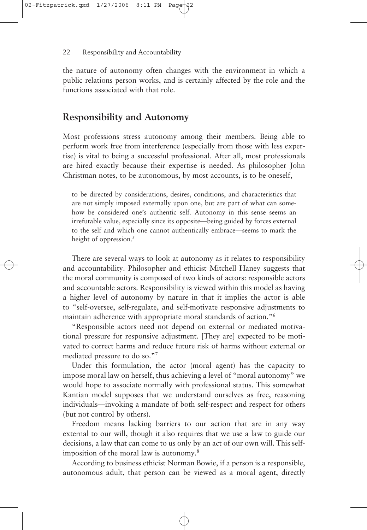the nature of autonomy often changes with the environment in which a public relations person works, and is certainly affected by the role and the functions associated with that role.

# **Responsibility and Autonomy**

Most professions stress autonomy among their members. Being able to perform work free from interference (especially from those with less expertise) is vital to being a successful professional. After all, most professionals are hired exactly because their expertise is needed. As philosopher John Christman notes, to be autonomous, by most accounts, is to be oneself,

to be directed by considerations, desires, conditions, and characteristics that are not simply imposed externally upon one, but are part of what can somehow be considered one's authentic self. Autonomy in this sense seems an irrefutable value, especially since its opposite—being guided by forces external to the self and which one cannot authentically embrace—seems to mark the height of oppression.<sup>5</sup>

There are several ways to look at autonomy as it relates to responsibility and accountability. Philosopher and ethicist Mitchell Haney suggests that the moral community is composed of two kinds of actors: responsible actors and accountable actors. Responsibility is viewed within this model as having a higher level of autonomy by nature in that it implies the actor is able to "self-oversee, self-regulate, and self-motivate responsive adjustments to maintain adherence with appropriate moral standards of action."6

"Responsible actors need not depend on external or mediated motivational pressure for responsive adjustment. [They are] expected to be motivated to correct harms and reduce future risk of harms without external or mediated pressure to do so."7

Under this formulation, the actor (moral agent) has the capacity to impose moral law on herself, thus achieving a level of "moral autonomy" we would hope to associate normally with professional status. This somewhat Kantian model supposes that we understand ourselves as free, reasoning individuals—invoking a mandate of both self-respect and respect for others (but not control by others).

Freedom means lacking barriers to our action that are in any way external to our will, though it also requires that we use a law to guide our decisions, a law that can come to us only by an act of our own will. This selfimposition of the moral law is autonomy.8

According to business ethicist Norman Bowie, if a person is a responsible, autonomous adult, that person can be viewed as a moral agent, directly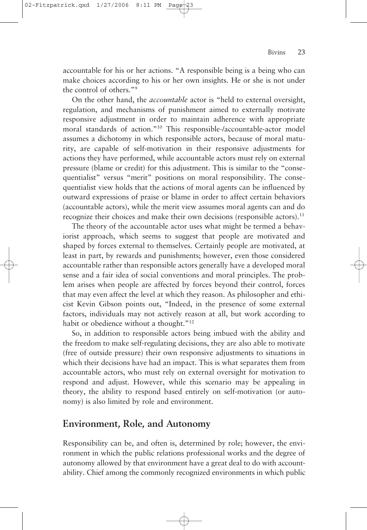accountable for his or her actions. "A responsible being is a being who can make choices according to his or her own insights. He or she is not under the control of others."9

On the other hand, the *accountable* actor is "held to external oversight, regulation, and mechanisms of punishment aimed to externally motivate responsive adjustment in order to maintain adherence with appropriate moral standards of action."10 This responsible-/accountable-actor model assumes a dichotomy in which responsible actors, because of moral maturity, are capable of self-motivation in their responsive adjustments for actions they have performed, while accountable actors must rely on external pressure (blame or credit) for this adjustment. This is similar to the "consequentialist" versus "merit" positions on moral responsibility. The consequentialist view holds that the actions of moral agents can be influenced by outward expressions of praise or blame in order to affect certain behaviors (accountable actors), while the merit view assumes moral agents can and do recognize their choices and make their own decisions (responsible actors).<sup>11</sup>

The theory of the accountable actor uses what might be termed a behaviorist approach, which seems to suggest that people are motivated and shaped by forces external to themselves. Certainly people are motivated, at least in part, by rewards and punishments; however, even those considered accountable rather than responsible actors generally have a developed moral sense and a fair idea of social conventions and moral principles. The problem arises when people are affected by forces beyond their control, forces that may even affect the level at which they reason. As philosopher and ethicist Kevin Gibson points out, "Indeed, in the presence of some external factors, individuals may not actively reason at all, but work according to habit or obedience without a thought."<sup>12</sup>

So, in addition to responsible actors being imbued with the ability and the freedom to make self-regulating decisions, they are also able to motivate (free of outside pressure) their own responsive adjustments to situations in which their decisions have had an impact. This is what separates them from accountable actors, who must rely on external oversight for motivation to respond and adjust. However, while this scenario may be appealing in theory, the ability to respond based entirely on self-motivation (or autonomy) is also limited by role and environment.

# **Environment, Role, and Autonomy**

Responsibility can be, and often is, determined by role; however, the environment in which the public relations professional works and the degree of autonomy allowed by that environment have a great deal to do with accountability. Chief among the commonly recognized environments in which public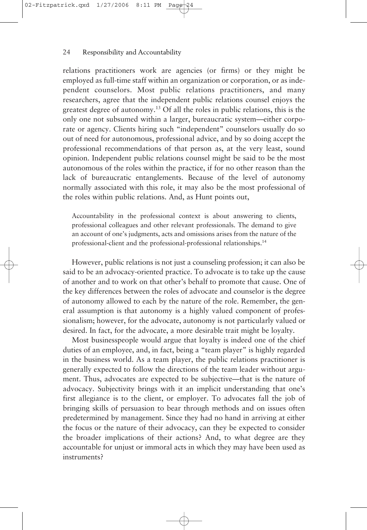relations practitioners work are agencies (or firms) or they might be employed as full-time staff within an organization or corporation, or as independent counselors. Most public relations practitioners, and many researchers, agree that the independent public relations counsel enjoys the greatest degree of autonomy.13 Of all the roles in public relations, this is the only one not subsumed within a larger, bureaucratic system—either corporate or agency. Clients hiring such "independent" counselors usually do so out of need for autonomous, professional advice, and by so doing accept the professional recommendations of that person as, at the very least, sound opinion. Independent public relations counsel might be said to be the most autonomous of the roles within the practice, if for no other reason than the lack of bureaucratic entanglements. Because of the level of autonomy normally associated with this role, it may also be the most professional of the roles within public relations. And, as Hunt points out,

Accountability in the professional context is about answering to clients, professional colleagues and other relevant professionals. The demand to give an account of one's judgments, acts and omissions arises from the nature of the professional-client and the professional-professional relationships.14

However, public relations is not just a counseling profession; it can also be said to be an advocacy-oriented practice. To advocate is to take up the cause of another and to work on that other's behalf to promote that cause. One of the key differences between the roles of advocate and counselor is the degree of autonomy allowed to each by the nature of the role. Remember, the general assumption is that autonomy is a highly valued component of professionalism; however, for the advocate, autonomy is not particularly valued or desired. In fact, for the advocate, a more desirable trait might be loyalty.

Most businesspeople would argue that loyalty is indeed one of the chief duties of an employee, and, in fact, being a "team player" is highly regarded in the business world. As a team player, the public relations practitioner is generally expected to follow the directions of the team leader without argument. Thus, advocates are expected to be subjective—that is the nature of advocacy. Subjectivity brings with it an implicit understanding that one's first allegiance is to the client, or employer. To advocates fall the job of bringing skills of persuasion to bear through methods and on issues often predetermined by management. Since they had no hand in arriving at either the focus or the nature of their advocacy, can they be expected to consider the broader implications of their actions? And, to what degree are they accountable for unjust or immoral acts in which they may have been used as instruments?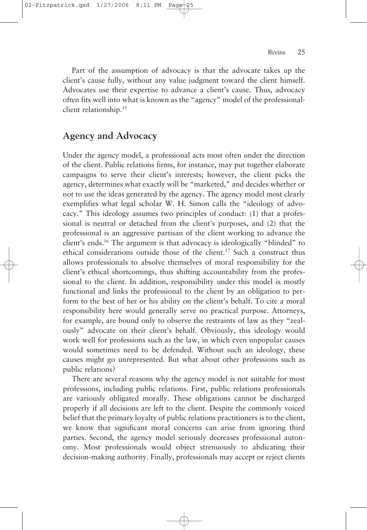Part of the assumption of advocacy is that the advocate takes up the client's cause fully, without any value judgment toward the client himself. Advocates use their expertise to advance a client's cause. Thus, advocacy often fits well into what is known as the "agency" model of the professionalclient relationship.15

# **Agency and Advocacy**

Under the agency model, a professional acts most often under the direction of the client. Public relations firms, for instance, may put together elaborate campaigns to serve their client's interests; however, the client picks the agency, determines what exactly will be "marketed," and decides whether or not to use the ideas generated by the agency. The agency model most clearly exemplifies what legal scholar W. H. Simon calls the "ideology of advocacy." This ideology assumes two principles of conduct: (1) that a professional is neutral or detached from the client's purposes, and (2) that the professional is an aggressive partisan of the client working to advance the client's ends.16 The argument is that advocacy is ideologically "blinded" to ethical considerations outside those of the client.17 Such a construct thus allows professionals to absolve themselves of moral responsibility for the client's ethical shortcomings, thus shifting accountability from the professional to the client. In addition, responsibility under this model is mostly functional and links the professional to the client by an obligation to perform to the best of her or his ability on the client's behalf. To cite a moral responsibility here would generally serve no practical purpose. Attorneys, for example, are bound only to observe the restraints of law as they "zealously" advocate on their client's behalf. Obviously, this ideology would work well for professions such as the law, in which even unpopular causes would sometimes need to be defended. Without such an ideology, these causes might go unrepresented. But what about other professions such as public relations?

There are several reasons why the agency model is not suitable for most professions, including public relations. First, public relations professionals are variously obligated morally. These obligations cannot be discharged properly if all decisions are left to the client. Despite the commonly voiced belief that the primary loyalty of public relations practitioners is to the client, we know that significant moral concerns can arise from ignoring third parties. Second, the agency model seriously decreases professional autonomy. Most professionals would object strenuously to abdicating their decision-making authority. Finally, professionals may accept or reject clients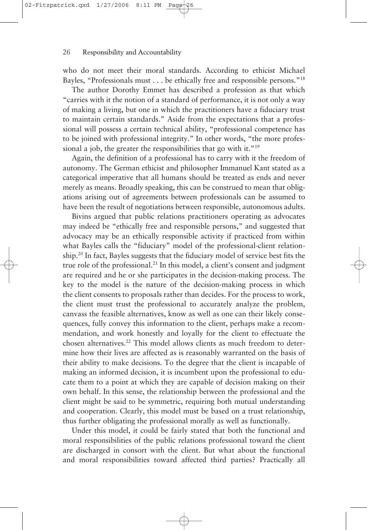who do not meet their moral standards. According to ethicist Michael Bayles, "Professionals must . . . be ethically free and responsible persons."18

The author Dorothy Emmet has described a profession as that which "carries with it the notion of a standard of performance, it is not only a way of making a living, but one in which the practitioners have a fiduciary trust to maintain certain standards." Aside from the expectations that a professional will possess a certain technical ability, "professional competence has to be joined with professional integrity." In other words, "the more professional a job, the greater the responsibilities that go with it."<sup>19</sup>

Again, the definition of a professional has to carry with it the freedom of autonomy. The German ethicist and philosopher Immanuel Kant stated as a categorical imperative that all humans should be treated as ends and never merely as means. Broadly speaking, this can be construed to mean that obligations arising out of agreements between professionals can be assumed to have been the result of negotiations between responsible, autonomous adults.

Bivins argued that public relations practitioners operating as advocates may indeed be "ethically free and responsible persons," and suggested that advocacy may be an ethically responsible activity if practiced from within what Bayles calls the "fiduciary" model of the professional-client relationship.20 In fact, Bayles suggests that the fiduciary model of service best fits the true role of the professional.<sup>21</sup> In this model, a client's consent and judgment are required and he or she participates in the decision-making process. The key to the model is the nature of the decision-making process in which the client consents to proposals rather than decides. For the process to work, the client must trust the professional to accurately analyze the problem, canvass the feasible alternatives, know as well as one can their likely consequences, fully convey this information to the client, perhaps make a recommendation, and work honestly and loyally for the client to effectuate the chosen alternatives.<sup>22</sup> This model allows clients as much freedom to determine how their lives are affected as is reasonably warranted on the basis of their ability to make decisions. To the degree that the client is incapable of making an informed decision, it is incumbent upon the professional to educate them to a point at which they are capable of decision making on their own behalf. In this sense, the relationship between the professional and the client might be said to be symmetric, requiring both mutual understanding and cooperation. Clearly, this model must be based on a trust relationship, thus further obligating the professional morally as well as functionally.

Under this model, it could be fairly stated that both the functional and moral responsibilities of the public relations professional toward the client are discharged in consort with the client. But what about the functional and moral responsibilities toward affected third parties? Practically all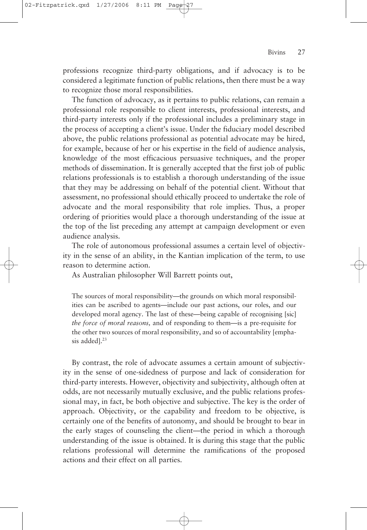professions recognize third-party obligations, and if advocacy is to be considered a legitimate function of public relations, then there must be a way to recognize those moral responsibilities.

The function of advocacy, as it pertains to public relations, can remain a professional role responsible to client interests, professional interests, and third-party interests only if the professional includes a preliminary stage in the process of accepting a client's issue. Under the fiduciary model described above, the public relations professional as potential advocate may be hired, for example, because of her or his expertise in the field of audience analysis, knowledge of the most efficacious persuasive techniques, and the proper methods of dissemination. It is generally accepted that the first job of public relations professionals is to establish a thorough understanding of the issue that they may be addressing on behalf of the potential client. Without that assessment, no professional should ethically proceed to undertake the role of advocate and the moral responsibility that role implies. Thus, a proper ordering of priorities would place a thorough understanding of the issue at the top of the list preceding any attempt at campaign development or even audience analysis.

The role of autonomous professional assumes a certain level of objectivity in the sense of an ability, in the Kantian implication of the term, to use reason to determine action.

As Australian philosopher Will Barrett points out,

The sources of moral responsibility—the grounds on which moral responsibilities can be ascribed to agents—include our past actions, our roles, and our developed moral agency. The last of these—being capable of recognising [sic] *the force of moral reasons,* and of responding to them—is a pre-requisite for the other two sources of moral responsibility, and so of accountability [emphasis added].<sup>23</sup>

By contrast, the role of advocate assumes a certain amount of subjectivity in the sense of one-sidedness of purpose and lack of consideration for third-party interests. However, objectivity and subjectivity, although often at odds, are not necessarily mutually exclusive, and the public relations professional may, in fact, be both objective and subjective. The key is the order of approach. Objectivity, or the capability and freedom to be objective, is certainly one of the benefits of autonomy, and should be brought to bear in the early stages of counseling the client—the period in which a thorough understanding of the issue is obtained. It is during this stage that the public relations professional will determine the ramifications of the proposed actions and their effect on all parties.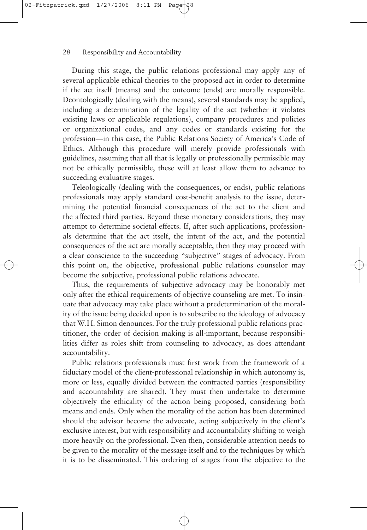During this stage, the public relations professional may apply any of several applicable ethical theories to the proposed act in order to determine if the act itself (means) and the outcome (ends) are morally responsible. Deontologically (dealing with the means), several standards may be applied, including a determination of the legality of the act (whether it violates existing laws or applicable regulations), company procedures and policies or organizational codes, and any codes or standards existing for the profession—in this case, the Public Relations Society of America's Code of Ethics. Although this procedure will merely provide professionals with guidelines, assuming that all that is legally or professionally permissible may not be ethically permissible, these will at least allow them to advance to succeeding evaluative stages.

Teleologically (dealing with the consequences, or ends), public relations professionals may apply standard cost-benefit analysis to the issue, determining the potential financial consequences of the act to the client and the affected third parties. Beyond these monetary considerations, they may attempt to determine societal effects. If, after such applications, professionals determine that the act itself, the intent of the act, and the potential consequences of the act are morally acceptable, then they may proceed with a clear conscience to the succeeding "subjective" stages of advocacy. From this point on, the objective, professional public relations counselor may become the subjective, professional public relations advocate.

Thus, the requirements of subjective advocacy may be honorably met only after the ethical requirements of objective counseling are met. To insinuate that advocacy may take place without a predetermination of the morality of the issue being decided upon is to subscribe to the ideology of advocacy that W.H. Simon denounces. For the truly professional public relations practitioner, the order of decision making is all-important, because responsibilities differ as roles shift from counseling to advocacy, as does attendant accountability.

Public relations professionals must first work from the framework of a fiduciary model of the client-professional relationship in which autonomy is, more or less, equally divided between the contracted parties (responsibility and accountability are shared). They must then undertake to determine objectively the ethicality of the action being proposed, considering both means and ends. Only when the morality of the action has been determined should the advisor become the advocate, acting subjectively in the client's exclusive interest, but with responsibility and accountability shifting to weigh more heavily on the professional. Even then, considerable attention needs to be given to the morality of the message itself and to the techniques by which it is to be disseminated. This ordering of stages from the objective to the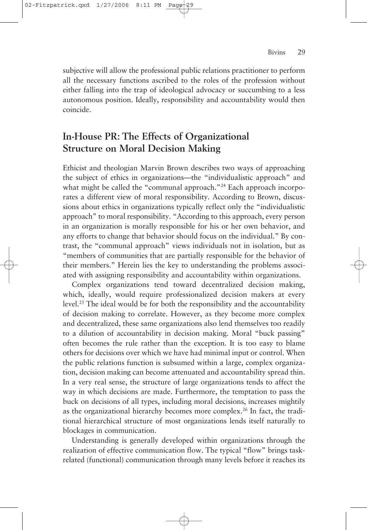subjective will allow the professional public relations practitioner to perform all the necessary functions ascribed to the roles of the profession without either falling into the trap of ideological advocacy or succumbing to a less autonomous position. Ideally, responsibility and accountability would then coincide.

# **In-House PR: The Effects of Organizational Structure on Moral Decision Making**

Ethicist and theologian Marvin Brown describes two ways of approaching the subject of ethics in organizations—the "individualistic approach" and what might be called the "communal approach."<sup>24</sup> Each approach incorporates a different view of moral responsibility. According to Brown, discussions about ethics in organizations typically reflect only the "individualistic approach" to moral responsibility. "According to this approach, every person in an organization is morally responsible for his or her own behavior, and any efforts to change that behavior should focus on the individual." By contrast, the "communal approach" views individuals not in isolation, but as "members of communities that are partially responsible for the behavior of their members." Herein lies the key to understanding the problems associated with assigning responsibility and accountability within organizations.

Complex organizations tend toward decentralized decision making, which, ideally, would require professionalized decision makers at every level.<sup>25</sup> The ideal would be for both the responsibility and the accountability of decision making to correlate. However, as they become more complex and decentralized, these same organizations also lend themselves too readily to a dilution of accountability in decision making. Moral "buck passing" often becomes the rule rather than the exception. It is too easy to blame others for decisions over which we have had minimal input or control. When the public relations function is subsumed within a large, complex organization, decision making can become attenuated and accountability spread thin. In a very real sense, the structure of large organizations tends to affect the way in which decisions are made. Furthermore, the temptation to pass the buck on decisions of all types, including moral decisions, increases mightily as the organizational hierarchy becomes more complex.<sup>26</sup> In fact, the traditional hierarchical structure of most organizations lends itself naturally to blockages in communication.

Understanding is generally developed within organizations through the realization of effective communication flow. The typical "flow" brings taskrelated (functional) communication through many levels before it reaches its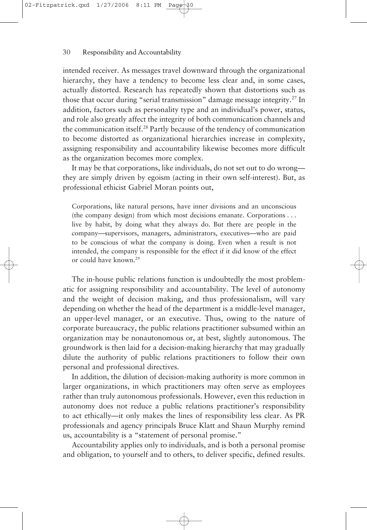intended receiver. As messages travel downward through the organizational hierarchy, they have a tendency to become less clear and, in some cases, actually distorted. Research has repeatedly shown that distortions such as those that occur during "serial transmission" damage message integrity.<sup>27</sup> In addition, factors such as personality type and an individual's power, status, and role also greatly affect the integrity of both communication channels and the communication itself.28 Partly because of the tendency of communication to become distorted as organizational hierarchies increase in complexity, assigning responsibility and accountability likewise becomes more difficult as the organization becomes more complex.

It may be that corporations, like individuals, do not set out to do wrong they are simply driven by egoism (acting in their own self-interest). But, as professional ethicist Gabriel Moran points out,

Corporations, like natural persons, have inner divisions and an unconscious (the company design) from which most decisions emanate. Corporations . . . live by habit, by doing what they always do. But there are people in the company—supervisors, managers, administrators, executives—who are paid to be conscious of what the company is doing. Even when a result is not intended, the company is responsible for the effect if it did know of the effect or could have known.29

The in-house public relations function is undoubtedly the most problematic for assigning responsibility and accountability. The level of autonomy and the weight of decision making, and thus professionalism, will vary depending on whether the head of the department is a middle-level manager, an upper-level manager, or an executive. Thus, owing to the nature of corporate bureaucracy, the public relations practitioner subsumed within an organization may be nonautonomous or, at best, slightly autonomous. The groundwork is then laid for a decision-making hierarchy that may gradually dilute the authority of public relations practitioners to follow their own personal and professional directives.

In addition, the dilution of decision-making authority is more common in larger organizations, in which practitioners may often serve as employees rather than truly autonomous professionals. However, even this reduction in autonomy does not reduce a public relations practitioner's responsibility to act ethically—it only makes the lines of responsibility less clear. As PR professionals and agency principals Bruce Klatt and Shaun Murphy remind us, accountability is a "statement of personal promise."

Accountability applies only to individuals, and is both a personal promise and obligation, to yourself and to others, to deliver specific, defined results.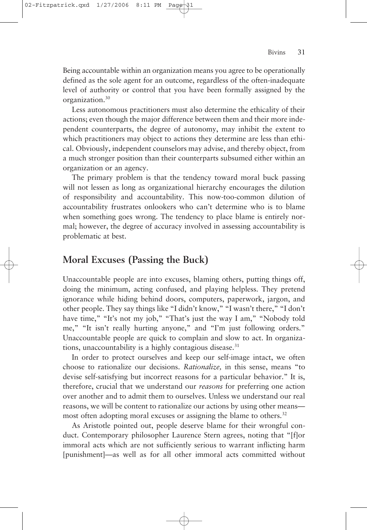Being accountable within an organization means you agree to be operationally defined as the sole agent for an outcome, regardless of the often-inadequate level of authority or control that you have been formally assigned by the organization.30

Less autonomous practitioners must also determine the ethicality of their actions; even though the major difference between them and their more independent counterparts, the degree of autonomy, may inhibit the extent to which practitioners may object to actions they determine are less than ethical. Obviously, independent counselors may advise, and thereby object, from a much stronger position than their counterparts subsumed either within an organization or an agency.

The primary problem is that the tendency toward moral buck passing will not lessen as long as organizational hierarchy encourages the dilution of responsibility and accountability. This now-too-common dilution of accountability frustrates onlookers who can't determine who is to blame when something goes wrong. The tendency to place blame is entirely normal; however, the degree of accuracy involved in assessing accountability is problematic at best.

# **Moral Excuses (Passing the Buck)**

Unaccountable people are into excuses, blaming others, putting things off, doing the minimum, acting confused, and playing helpless. They pretend ignorance while hiding behind doors, computers, paperwork, jargon, and other people. They say things like "I didn't know," "I wasn't there," "I don't have time," "It's not my job," "That's just the way I am," "Nobody told me," "It isn't really hurting anyone," and "I'm just following orders." Unaccountable people are quick to complain and slow to act. In organizations, unaccountability is a highly contagious disease. $31$ 

In order to protect ourselves and keep our self-image intact, we often choose to rationalize our decisions. *Rationalize,* in this sense, means "to devise self-satisfying but incorrect reasons for a particular behavior." It is, therefore, crucial that we understand our *reasons* for preferring one action over another and to admit them to ourselves. Unless we understand our real reasons, we will be content to rationalize our actions by using other means most often adopting moral excuses or assigning the blame to others.<sup>32</sup>

As Aristotle pointed out, people deserve blame for their wrongful conduct. Contemporary philosopher Laurence Stern agrees, noting that "[f]or immoral acts which are not sufficiently serious to warrant inflicting harm [punishment]—as well as for all other immoral acts committed without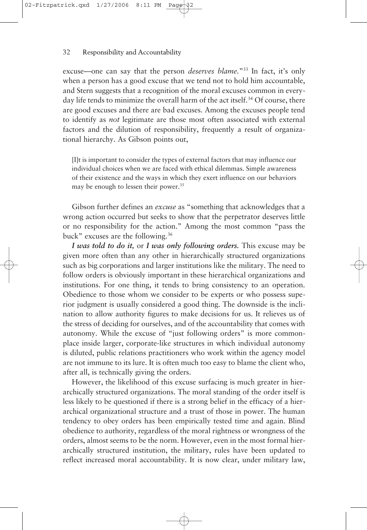excuse—one can say that the person *deserves blame.*"33 In fact, it's only when a person has a good excuse that we tend not to hold him accountable, and Stern suggests that a recognition of the moral excuses common in everyday life tends to minimize the overall harm of the act itself.<sup>34</sup> Of course, there are good excuses and there are bad excuses. Among the excuses people tend to identify as *not* legitimate are those most often associated with external factors and the dilution of responsibility, frequently a result of organizational hierarchy. As Gibson points out,

[I]t is important to consider the types of external factors that may influence our individual choices when we are faced with ethical dilemmas. Simple awareness of their existence and the ways in which they exert influence on our behaviors may be enough to lessen their power.<sup>35</sup>

Gibson further defines an *excuse* as "something that acknowledges that a wrong action occurred but seeks to show that the perpetrator deserves little or no responsibility for the action." Among the most common "pass the buck" excuses are the following.<sup>36</sup>

*I was told to do it,* or *I was only following orders.* This excuse may be given more often than any other in hierarchically structured organizations such as big corporations and larger institutions like the military. The need to follow orders is obviously important in these hierarchical organizations and institutions. For one thing, it tends to bring consistency to an operation. Obedience to those whom we consider to be experts or who possess superior judgment is usually considered a good thing. The downside is the inclination to allow authority figures to make decisions for us. It relieves us of the stress of deciding for ourselves, and of the accountability that comes with autonomy. While the excuse of "just following orders" is more commonplace inside larger, corporate-like structures in which individual autonomy is diluted, public relations practitioners who work within the agency model are not immune to its lure. It is often much too easy to blame the client who, after all, is technically giving the orders.

However, the likelihood of this excuse surfacing is much greater in hierarchically structured organizations. The moral standing of the order itself is less likely to be questioned if there is a strong belief in the efficacy of a hierarchical organizational structure and a trust of those in power. The human tendency to obey orders has been empirically tested time and again. Blind obedience to authority, regardless of the moral rightness or wrongness of the orders, almost seems to be the norm. However, even in the most formal hierarchically structured institution, the military, rules have been updated to reflect increased moral accountability. It is now clear, under military law,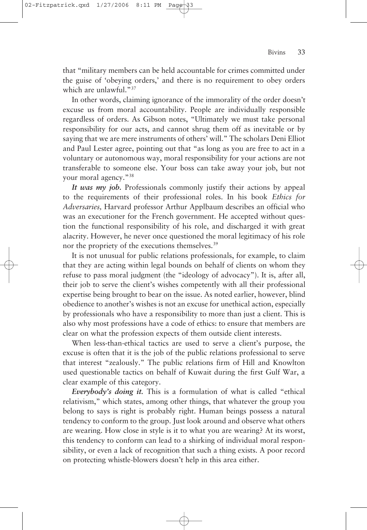that "military members can be held accountable for crimes committed under the guise of 'obeying orders,' and there is no requirement to obey orders which are unlawful."<sup>37</sup>

In other words, claiming ignorance of the immorality of the order doesn't excuse us from moral accountability. People are individually responsible regardless of orders. As Gibson notes, "Ultimately we must take personal responsibility for our acts, and cannot shrug them off as inevitable or by saying that we are mere instruments of others' will." The scholars Deni Elliot and Paul Lester agree, pointing out that "as long as you are free to act in a voluntary or autonomous way, moral responsibility for your actions are not transferable to someone else. Your boss can take away your job, but not your moral agency."38

*It was my job.* Professionals commonly justify their actions by appeal to the requirements of their professional roles. In his book *Ethics for Adversaries,* Harvard professor Arthur Applbaum describes an official who was an executioner for the French government. He accepted without question the functional responsibility of his role, and discharged it with great alacrity. However, he never once questioned the moral legitimacy of his role nor the propriety of the executions themselves.<sup>39</sup>

It is not unusual for public relations professionals, for example, to claim that they are acting within legal bounds on behalf of clients on whom they refuse to pass moral judgment (the "ideology of advocacy"). It is, after all, their job to serve the client's wishes competently with all their professional expertise being brought to bear on the issue. As noted earlier, however, blind obedience to another's wishes is not an excuse for unethical action, especially by professionals who have a responsibility to more than just a client. This is also why most professions have a code of ethics: to ensure that members are clear on what the profession expects of them outside client interests.

When less-than-ethical tactics are used to serve a client's purpose, the excuse is often that it is the job of the public relations professional to serve that interest "zealously." The public relations firm of Hill and Knowlton used questionable tactics on behalf of Kuwait during the first Gulf War, a clear example of this category.

*Everybody's doing it.* This is a formulation of what is called "ethical relativism," which states, among other things, that whatever the group you belong to says is right is probably right. Human beings possess a natural tendency to conform to the group. Just look around and observe what others are wearing. How close in style is it to what you are wearing? At its worst, this tendency to conform can lead to a shirking of individual moral responsibility, or even a lack of recognition that such a thing exists. A poor record on protecting whistle-blowers doesn't help in this area either.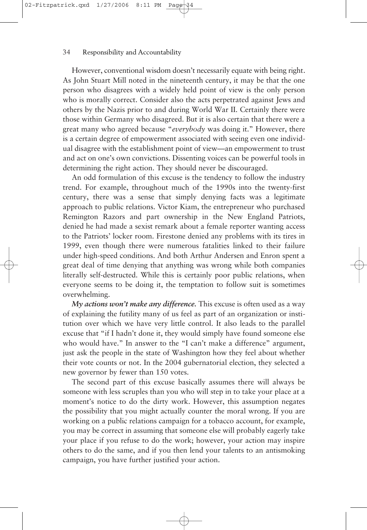However, conventional wisdom doesn't necessarily equate with being right. As John Stuart Mill noted in the nineteenth century, it may be that the one person who disagrees with a widely held point of view is the only person who is morally correct. Consider also the acts perpetrated against Jews and others by the Nazis prior to and during World War II. Certainly there were those within Germany who disagreed. But it is also certain that there were a great many who agreed because "*everybody* was doing it." However, there is a certain degree of empowerment associated with seeing even one individual disagree with the establishment point of view—an empowerment to trust and act on one's own convictions. Dissenting voices can be powerful tools in determining the right action. They should never be discouraged.

An odd formulation of this excuse is the tendency to follow the industry trend. For example, throughout much of the 1990s into the twenty-first century, there was a sense that simply denying facts was a legitimate approach to public relations. Victor Kiam, the entrepreneur who purchased Remington Razors and part ownership in the New England Patriots, denied he had made a sexist remark about a female reporter wanting access to the Patriots' locker room. Firestone denied any problems with its tires in 1999, even though there were numerous fatalities linked to their failure under high-speed conditions. And both Arthur Andersen and Enron spent a great deal of time denying that anything was wrong while both companies literally self-destructed. While this is certainly poor public relations, when everyone seems to be doing it, the temptation to follow suit is sometimes overwhelming.

*My actions won't make any difference.* This excuse is often used as a way of explaining the futility many of us feel as part of an organization or institution over which we have very little control. It also leads to the parallel excuse that "if I hadn't done it, they would simply have found someone else who would have." In answer to the "I can't make a difference" argument, just ask the people in the state of Washington how they feel about whether their vote counts or not. In the 2004 gubernatorial election, they selected a new governor by fewer than 150 votes.

The second part of this excuse basically assumes there will always be someone with less scruples than you who will step in to take your place at a moment's notice to do the dirty work. However, this assumption negates the possibility that you might actually counter the moral wrong. If you are working on a public relations campaign for a tobacco account, for example, you may be correct in assuming that someone else will probably eagerly take your place if you refuse to do the work; however, your action may inspire others to do the same, and if you then lend your talents to an antismoking campaign, you have further justified your action.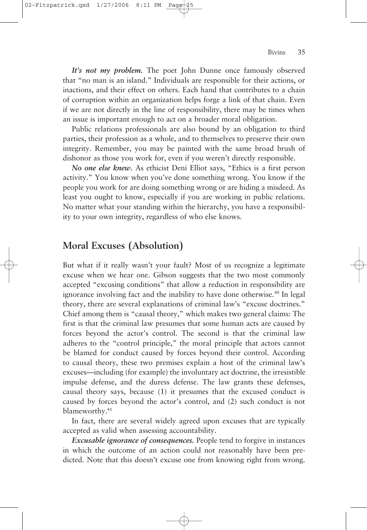*It's not my problem.* The poet John Dunne once famously observed that "no man is an island." Individuals are responsible for their actions, or inactions, and their effect on others. Each hand that contributes to a chain of corruption within an organization helps forge a link of that chain. Even if we are not directly in the line of responsibility, there may be times when an issue is important enough to act on a broader moral obligation.

Public relations professionals are also bound by an obligation to third parties, their profession as a whole, and to themselves to preserve their own integrity. Remember, you may be painted with the same broad brush of dishonor as those you work for, even if you weren't directly responsible.

*No one else knew.* As ethicist Deni Elliot says, "Ethics is a first person activity." You know when you've done something wrong. You know if the people you work for are doing something wrong or are hiding a misdeed. As least you ought to know, especially if you are working in public relations. No matter what your standing within the hierarchy, you have a responsibility to your own integrity, regardless of who else knows.

#### **Moral Excuses (Absolution)**

But what if it really wasn't your fault? Most of us recognize a legitimate excuse when we hear one. Gibson suggests that the two most commonly accepted "excusing conditions" that allow a reduction in responsibility are ignorance involving fact and the inability to have done otherwise.<sup>40</sup> In legal theory, there are several explanations of criminal law's "excuse doctrines." Chief among them is "causal theory," which makes two general claims: The first is that the criminal law presumes that some human acts are caused by forces beyond the actor's control. The second is that the criminal law adheres to the "control principle," the moral principle that actors cannot be blamed for conduct caused by forces beyond their control. According to causal theory, these two premises explain a host of the criminal law's excuses—including (for example) the involuntary act doctrine, the irresistible impulse defense, and the duress defense. The law grants these defenses, causal theory says, because (1) it presumes that the excused conduct is caused by forces beyond the actor's control, and (2) such conduct is not blameworthy.<sup>41</sup>

In fact, there are several widely agreed upon excuses that are typically accepted as valid when assessing accountability.

*Excusable ignorance of consequences.* People tend to forgive in instances in which the outcome of an action could not reasonably have been predicted. Note that this doesn't excuse one from knowing right from wrong.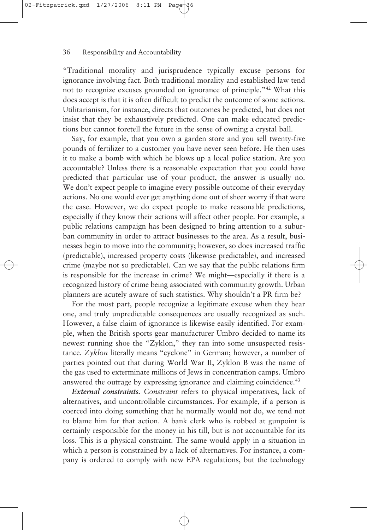"Traditional morality and jurisprudence typically excuse persons for ignorance involving fact. Both traditional morality and established law tend not to recognize excuses grounded on ignorance of principle."42 What this does accept is that it is often difficult to predict the outcome of some actions. Utilitarianism, for instance, directs that outcomes be predicted, but does not insist that they be exhaustively predicted. One can make educated predictions but cannot foretell the future in the sense of owning a crystal ball.

Say, for example, that you own a garden store and you sell twenty-five pounds of fertilizer to a customer you have never seen before. He then uses it to make a bomb with which he blows up a local police station. Are you accountable? Unless there is a reasonable expectation that you could have predicted that particular use of your product, the answer is usually no. We don't expect people to imagine every possible outcome of their everyday actions. No one would ever get anything done out of sheer worry if that were the case. However, we do expect people to make reasonable predictions, especially if they know their actions will affect other people. For example, a public relations campaign has been designed to bring attention to a suburban community in order to attract businesses to the area. As a result, businesses begin to move into the community; however, so does increased traffic (predictable), increased property costs (likewise predictable), and increased crime (maybe not so predictable). Can we say that the public relations firm is responsible for the increase in crime? We might—especially if there is a recognized history of crime being associated with community growth. Urban planners are acutely aware of such statistics. Why shouldn't a PR firm be?

For the most part, people recognize a legitimate excuse when they hear one, and truly unpredictable consequences are usually recognized as such. However, a false claim of ignorance is likewise easily identified. For example, when the British sports gear manufacturer Umbro decided to name its newest running shoe the "Zyklon," they ran into some unsuspected resistance. *Zyklon* literally means "cyclone" in German; however, a number of parties pointed out that during World War II, Zyklon B was the name of the gas used to exterminate millions of Jews in concentration camps. Umbro answered the outrage by expressing ignorance and claiming coincidence.<sup>43</sup>

*External constraints. Constraint* refers to physical imperatives, lack of alternatives, and uncontrollable circumstances. For example, if a person is coerced into doing something that he normally would not do, we tend not to blame him for that action. A bank clerk who is robbed at gunpoint is certainly responsible for the money in his till, but is not accountable for its loss. This is a physical constraint. The same would apply in a situation in which a person is constrained by a lack of alternatives. For instance, a company is ordered to comply with new EPA regulations, but the technology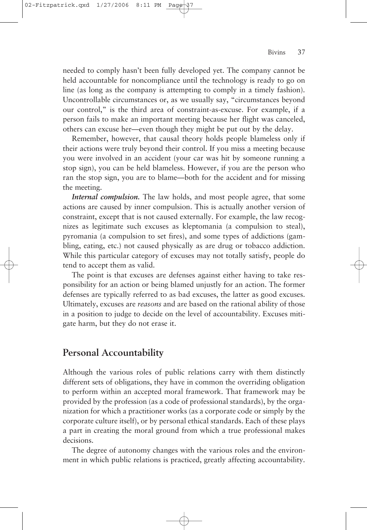needed to comply hasn't been fully developed yet. The company cannot be held accountable for noncompliance until the technology is ready to go on line (as long as the company is attempting to comply in a timely fashion). Uncontrollable circumstances or, as we usually say, "circumstances beyond our control," is the third area of constraint-as-excuse. For example, if a person fails to make an important meeting because her flight was canceled, others can excuse her—even though they might be put out by the delay.

Remember, however, that causal theory holds people blameless only if their actions were truly beyond their control. If you miss a meeting because you were involved in an accident (your car was hit by someone running a stop sign), you can be held blameless. However, if you are the person who ran the stop sign, you are to blame—both for the accident and for missing the meeting.

*Internal compulsion*. The law holds, and most people agree, that some actions are caused by inner compulsion. This is actually another version of constraint, except that is not caused externally. For example, the law recognizes as legitimate such excuses as kleptomania (a compulsion to steal), pyromania (a compulsion to set fires), and some types of addictions (gambling, eating, etc.) not caused physically as are drug or tobacco addiction. While this particular category of excuses may not totally satisfy, people do tend to accept them as valid.

The point is that excuses are defenses against either having to take responsibility for an action or being blamed unjustly for an action. The former defenses are typically referred to as bad excuses, the latter as good excuses. Ultimately, excuses are *reasons* and are based on the rational ability of those in a position to judge to decide on the level of accountability. Excuses mitigate harm, but they do not erase it.

# **Personal Accountability**

Although the various roles of public relations carry with them distinctly different sets of obligations, they have in common the overriding obligation to perform within an accepted moral framework. That framework may be provided by the profession (as a code of professional standards), by the organization for which a practitioner works (as a corporate code or simply by the corporate culture itself), or by personal ethical standards. Each of these plays a part in creating the moral ground from which a true professional makes decisions.

The degree of autonomy changes with the various roles and the environment in which public relations is practiced, greatly affecting accountability.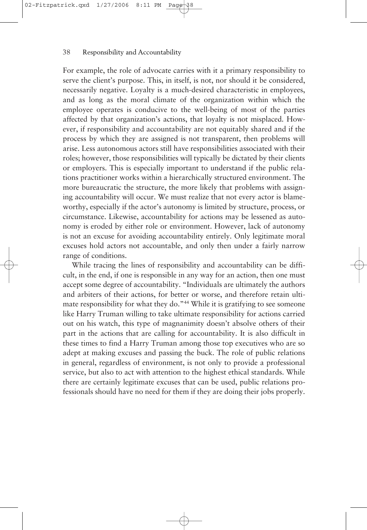For example, the role of advocate carries with it a primary responsibility to serve the client's purpose. This, in itself, is not, nor should it be considered, necessarily negative. Loyalty is a much-desired characteristic in employees, and as long as the moral climate of the organization within which the employee operates is conducive to the well-being of most of the parties affected by that organization's actions, that loyalty is not misplaced. However, if responsibility and accountability are not equitably shared and if the process by which they are assigned is not transparent, then problems will arise. Less autonomous actors still have responsibilities associated with their roles; however, those responsibilities will typically be dictated by their clients or employers. This is especially important to understand if the public relations practitioner works within a hierarchically structured environment. The more bureaucratic the structure, the more likely that problems with assigning accountability will occur. We must realize that not every actor is blameworthy, especially if the actor's autonomy is limited by structure, process, or circumstance. Likewise, accountability for actions may be lessened as autonomy is eroded by either role or environment. However, lack of autonomy is not an excuse for avoiding accountability entirely. Only legitimate moral excuses hold actors not accountable, and only then under a fairly narrow range of conditions.

While tracing the lines of responsibility and accountability can be difficult, in the end, if one is responsible in any way for an action, then one must accept some degree of accountability. "Individuals are ultimately the authors and arbiters of their actions, for better or worse, and therefore retain ultimate responsibility for what they do."44 While it is gratifying to see someone like Harry Truman willing to take ultimate responsibility for actions carried out on his watch, this type of magnanimity doesn't absolve others of their part in the actions that are calling for accountability. It is also difficult in these times to find a Harry Truman among those top executives who are so adept at making excuses and passing the buck. The role of public relations in general, regardless of environment, is not only to provide a professional service, but also to act with attention to the highest ethical standards. While there are certainly legitimate excuses that can be used, public relations professionals should have no need for them if they are doing their jobs properly.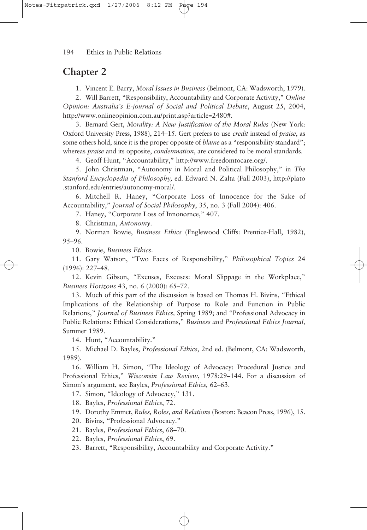# **Chapter 2**

1. Vincent E. Barry, *Moral Issues in Business* (Belmont, CA: Wadsworth, 1979).

2. Will Barrett, "Responsibility, Accountability and Corporate Activity," *Online Opinion: Australia's E-journal of Social and Political Debate*, August 25, 2004, http://www.onlineopinion.com.au/print.asp?article=2480#.

3. Bernard Gert, *Morality: A New Justification of the Moral Rules* (New York: Oxford University Press, 1988), 214–15. Gert prefers to use *credit* instead of *praise*, as some others hold, since it is the proper opposite of *blame* as a "responsibility standard"; whereas *praise* and its opposite, *condemnation*, are considered to be moral standards.

4. Geoff Hunt, "Accountability," http://www.freedomtocare.org/.

5. John Christman, "Autonomy in Moral and Political Philosophy," in *The Stanford Encyclopedia of Philosophy,* ed. Edward N. Zalta (Fall 2003), http://plato .stanford.edu/entries/autonomy-moral/.

6. Mitchell R. Haney, "Corporate Loss of Innocence for the Sake of Accountability," *Journal of Social Philosophy*, 35, no. 3 (Fall 2004): 406.

7. Haney, "Corporate Loss of Innoncence," 407.

8. Christman, *Autonomy*.

9. Norman Bowie, *Business Ethics* (Englewood Cliffs: Prentice-Hall, 1982), 95–96.

10. Bowie, *Business Ethics*.

11. Gary Watson, "Two Faces of Responsibility," *Philosophical Topics* 24 (1996): 227–48.

12. Kevin Gibson, "Excuses, Excuses: Moral Slippage in the Workplace," *Business Horizons* 43, no. 6 (2000): 65–72.

13. Much of this part of the discussion is based on Thomas H. Bivins, "Ethical Implications of the Relationship of Purpose to Role and Function in Public Relations," *Journal of Business Ethics,* Spring 1989; and "Professional Advocacy in Public Relations: Ethical Considerations," *Business and Professional Ethics Journal,* Summer 1989.

14. Hunt, "Accountability."

15. Michael D. Bayles, *Professional Ethics*, 2nd ed. (Belmont, CA: Wadsworth, 1989).

16. William H. Simon, "The Ideology of Advocacy: Procedural Justice and Professional Ethics," *Wisconsin Law Review*, 1978:29–144. For a discussion of Simon's argument, see Bayles, *Professional Ethics,* 62–63.

17. Simon, "Ideology of Advocacy," 131.

18. Bayles, *Professional Ethics*, 72.

19. Dorothy Emmet, *Rules, Roles, and Relations* (Boston: Beacon Press, 1996), 15.

20. Bivins, "Professional Advocacy."

21. Bayles, *Professional Ethics*, 68–70.

22. Bayles, *Professional Ethics*, 69.

23. Barrett, "Responsibility, Accountability and Corporate Activity."